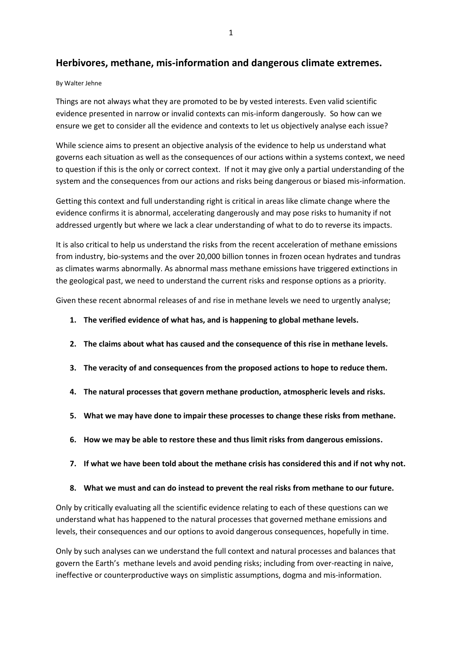# **Herbivores, methane, mis-information and dangerous climate extremes.**

#### By Walter Jehne

Things are not always what they are promoted to be by vested interests. Even valid scientific evidence presented in narrow or invalid contexts can mis-inform dangerously. So how can we ensure we get to consider all the evidence and contexts to let us objectively analyse each issue?

While science aims to present an objective analysis of the evidence to help us understand what governs each situation as well as the consequences of our actions within a systems context, we need to question if this is the only or correct context. If not it may give only a partial understanding of the system and the consequences from our actions and risks being dangerous or biased mis-information.

Getting this context and full understanding right is critical in areas like climate change where the evidence confirms it is abnormal, accelerating dangerously and may pose risks to humanity if not addressed urgently but where we lack a clear understanding of what to do to reverse its impacts.

It is also critical to help us understand the risks from the recent acceleration of methane emissions from industry, bio-systems and the over 20,000 billion tonnes in frozen ocean hydrates and tundras as climates warms abnormally. As abnormal mass methane emissions have triggered extinctions in the geological past, we need to understand the current risks and response options as a priority.

Given these recent abnormal releases of and rise in methane levels we need to urgently analyse;

- **1. The verified evidence of what has, and is happening to global methane levels.**
- **2. The claims about what has caused and the consequence of this rise in methane levels.**
- **3. The veracity of and consequences from the proposed actions to hope to reduce them.**
- **4. The natural processes that govern methane production, atmospheric levels and risks.**
- **5. What we may have done to impair these processes to change these risks from methane.**
- **6. How we may be able to restore these and thus limit risks from dangerous emissions.**
- **7. If what we have been told about the methane crisis has considered this and if not why not.**
- **8. What we must and can do instead to prevent the real risks from methane to our future.**

Only by critically evaluating all the scientific evidence relating to each of these questions can we understand what has happened to the natural processes that governed methane emissions and levels, their consequences and our options to avoid dangerous consequences, hopefully in time.

Only by such analyses can we understand the full context and natural processes and balances that govern the Earth's methane levels and avoid pending risks; including from over-reacting in naive, ineffective or counterproductive ways on simplistic assumptions, dogma and mis-information.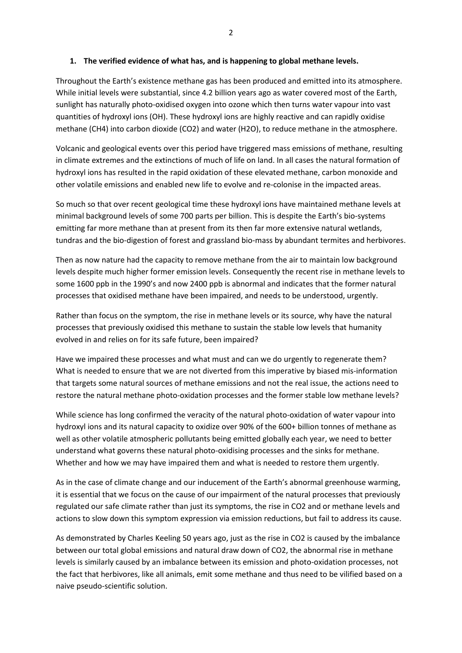#### **1. The verified evidence of what has, and is happening to global methane levels.**

Throughout the Earth's existence methane gas has been produced and emitted into its atmosphere. While initial levels were substantial, since 4.2 billion years ago as water covered most of the Earth, sunlight has naturally photo-oxidised oxygen into ozone which then turns water vapour into vast quantities of hydroxyl ions (OH). These hydroxyl ions are highly reactive and can rapidly oxidise methane (CH4) into carbon dioxide (CO2) and water (H2O), to reduce methane in the atmosphere.

Volcanic and geological events over this period have triggered mass emissions of methane, resulting in climate extremes and the extinctions of much of life on land. In all cases the natural formation of hydroxyl ions has resulted in the rapid oxidation of these elevated methane, carbon monoxide and other volatile emissions and enabled new life to evolve and re-colonise in the impacted areas.

So much so that over recent geological time these hydroxyl ions have maintained methane levels at minimal background levels of some 700 parts per billion. This is despite the Earth's bio-systems emitting far more methane than at present from its then far more extensive natural wetlands, tundras and the bio-digestion of forest and grassland bio-mass by abundant termites and herbivores.

Then as now nature had the capacity to remove methane from the air to maintain low background levels despite much higher former emission levels. Consequently the recent rise in methane levels to some 1600 ppb in the 1990's and now 2400 ppb is abnormal and indicates that the former natural processes that oxidised methane have been impaired, and needs to be understood, urgently.

Rather than focus on the symptom, the rise in methane levels or its source, why have the natural processes that previously oxidised this methane to sustain the stable low levels that humanity evolved in and relies on for its safe future, been impaired?

Have we impaired these processes and what must and can we do urgently to regenerate them? What is needed to ensure that we are not diverted from this imperative by biased mis-information that targets some natural sources of methane emissions and not the real issue, the actions need to restore the natural methane photo-oxidation processes and the former stable low methane levels?

While science has long confirmed the veracity of the natural photo-oxidation of water vapour into hydroxyl ions and its natural capacity to oxidize over 90% of the 600+ billion tonnes of methane as well as other volatile atmospheric pollutants being emitted globally each year, we need to better understand what governs these natural photo-oxidising processes and the sinks for methane. Whether and how we may have impaired them and what is needed to restore them urgently.

As in the case of climate change and our inducement of the Earth's abnormal greenhouse warming, it is essential that we focus on the cause of our impairment of the natural processes that previously regulated our safe climate rather than just its symptoms, the rise in CO2 and or methane levels and actions to slow down this symptom expression via emission reductions, but fail to address its cause.

As demonstrated by Charles Keeling 50 years ago, just as the rise in CO2 is caused by the imbalance between our total global emissions and natural draw down of CO2, the abnormal rise in methane levels is similarly caused by an imbalance between its emission and photo-oxidation processes, not the fact that herbivores, like all animals, emit some methane and thus need to be vilified based on a naive pseudo-scientific solution.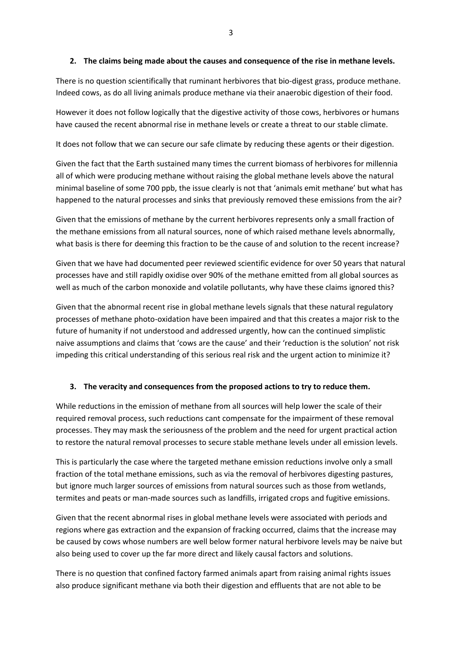#### **2. The claims being made about the causes and consequence of the rise in methane levels.**

There is no question scientifically that ruminant herbivores that bio-digest grass, produce methane. Indeed cows, as do all living animals produce methane via their anaerobic digestion of their food.

However it does not follow logically that the digestive activity of those cows, herbivores or humans have caused the recent abnormal rise in methane levels or create a threat to our stable climate.

It does not follow that we can secure our safe climate by reducing these agents or their digestion.

Given the fact that the Earth sustained many times the current biomass of herbivores for millennia all of which were producing methane without raising the global methane levels above the natural minimal baseline of some 700 ppb, the issue clearly is not that 'animals emit methane' but what has happened to the natural processes and sinks that previously removed these emissions from the air?

Given that the emissions of methane by the current herbivores represents only a small fraction of the methane emissions from all natural sources, none of which raised methane levels abnormally, what basis is there for deeming this fraction to be the cause of and solution to the recent increase?

Given that we have had documented peer reviewed scientific evidence for over 50 years that natural processes have and still rapidly oxidise over 90% of the methane emitted from all global sources as well as much of the carbon monoxide and volatile pollutants, why have these claims ignored this?

Given that the abnormal recent rise in global methane levels signals that these natural regulatory processes of methane photo-oxidation have been impaired and that this creates a major risk to the future of humanity if not understood and addressed urgently, how can the continued simplistic naive assumptions and claims that 'cows are the cause' and their 'reduction is the solution' not risk impeding this critical understanding of this serious real risk and the urgent action to minimize it?

#### **3. The veracity and consequences from the proposed actions to try to reduce them.**

While reductions in the emission of methane from all sources will help lower the scale of their required removal process, such reductions cant compensate for the impairment of these removal processes. They may mask the seriousness of the problem and the need for urgent practical action to restore the natural removal processes to secure stable methane levels under all emission levels.

This is particularly the case where the targeted methane emission reductions involve only a small fraction of the total methane emissions, such as via the removal of herbivores digesting pastures, but ignore much larger sources of emissions from natural sources such as those from wetlands, termites and peats or man-made sources such as landfills, irrigated crops and fugitive emissions.

Given that the recent abnormal rises in global methane levels were associated with periods and regions where gas extraction and the expansion of fracking occurred, claims that the increase may be caused by cows whose numbers are well below former natural herbivore levels may be naive but also being used to cover up the far more direct and likely causal factors and solutions.

There is no question that confined factory farmed animals apart from raising animal rights issues also produce significant methane via both their digestion and effluents that are not able to be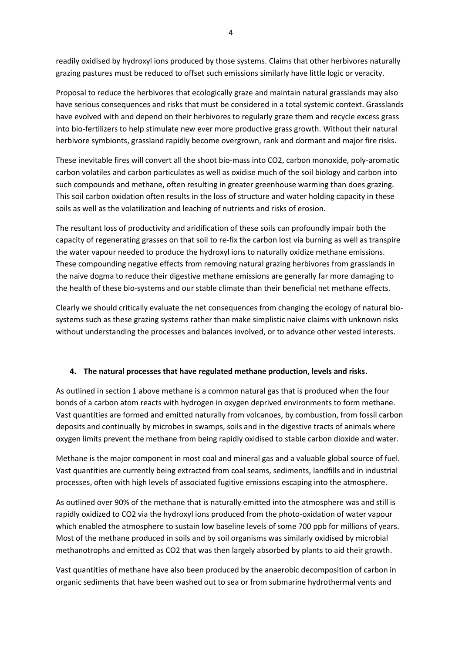readily oxidised by hydroxyl ions produced by those systems. Claims that other herbivores naturally grazing pastures must be reduced to offset such emissions similarly have little logic or veracity.

Proposal to reduce the herbivores that ecologically graze and maintain natural grasslands may also have serious consequences and risks that must be considered in a total systemic context. Grasslands have evolved with and depend on their herbivores to regularly graze them and recycle excess grass into bio-fertilizers to help stimulate new ever more productive grass growth. Without their natural herbivore symbionts, grassland rapidly become overgrown, rank and dormant and major fire risks.

These inevitable fires will convert all the shoot bio-mass into CO2, carbon monoxide, poly-aromatic carbon volatiles and carbon particulates as well as oxidise much of the soil biology and carbon into such compounds and methane, often resulting in greater greenhouse warming than does grazing. This soil carbon oxidation often results in the loss of structure and water holding capacity in these soils as well as the volatilization and leaching of nutrients and risks of erosion.

The resultant loss of productivity and aridification of these soils can profoundly impair both the capacity of regenerating grasses on that soil to re-fix the carbon lost via burning as well as transpire the water vapour needed to produce the hydroxyl ions to naturally oxidize methane emissions. These compounding negative effects from removing natural grazing herbivores from grasslands in the naive dogma to reduce their digestive methane emissions are generally far more damaging to the health of these bio-systems and our stable climate than their beneficial net methane effects.

Clearly we should critically evaluate the net consequences from changing the ecology of natural biosystems such as these grazing systems rather than make simplistic naive claims with unknown risks without understanding the processes and balances involved, or to advance other vested interests.

# **4. The natural processes that have regulated methane production, levels and risks.**

As outlined in section 1 above methane is a common natural gas that is produced when the four bonds of a carbon atom reacts with hydrogen in oxygen deprived environments to form methane. Vast quantities are formed and emitted naturally from volcanoes, by combustion, from fossil carbon deposits and continually by microbes in swamps, soils and in the digestive tracts of animals where oxygen limits prevent the methane from being rapidly oxidised to stable carbon dioxide and water.

Methane is the major component in most coal and mineral gas and a valuable global source of fuel. Vast quantities are currently being extracted from coal seams, sediments, landfills and in industrial processes, often with high levels of associated fugitive emissions escaping into the atmosphere.

As outlined over 90% of the methane that is naturally emitted into the atmosphere was and still is rapidly oxidized to CO2 via the hydroxyl ions produced from the photo-oxidation of water vapour which enabled the atmosphere to sustain low baseline levels of some 700 ppb for millions of years. Most of the methane produced in soils and by soil organisms was similarly oxidised by microbial methanotrophs and emitted as CO2 that was then largely absorbed by plants to aid their growth.

Vast quantities of methane have also been produced by the anaerobic decomposition of carbon in organic sediments that have been washed out to sea or from submarine hydrothermal vents and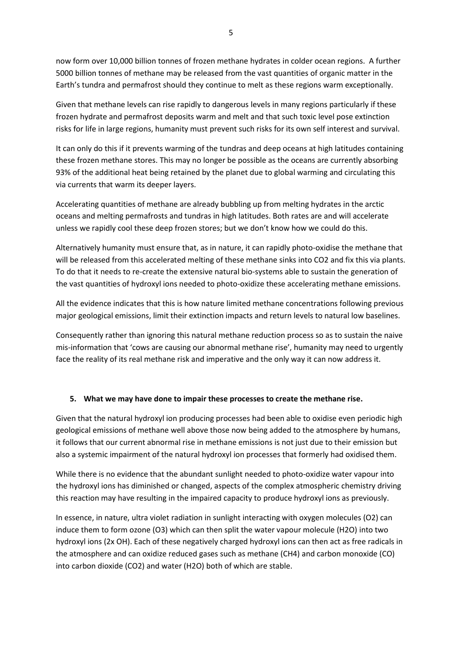now form over 10,000 billion tonnes of frozen methane hydrates in colder ocean regions. A further 5000 billion tonnes of methane may be released from the vast quantities of organic matter in the Earth's tundra and permafrost should they continue to melt as these regions warm exceptionally.

Given that methane levels can rise rapidly to dangerous levels in many regions particularly if these frozen hydrate and permafrost deposits warm and melt and that such toxic level pose extinction risks for life in large regions, humanity must prevent such risks for its own self interest and survival.

It can only do this if it prevents warming of the tundras and deep oceans at high latitudes containing these frozen methane stores. This may no longer be possible as the oceans are currently absorbing 93% of the additional heat being retained by the planet due to global warming and circulating this via currents that warm its deeper layers.

Accelerating quantities of methane are already bubbling up from melting hydrates in the arctic oceans and melting permafrosts and tundras in high latitudes. Both rates are and will accelerate unless we rapidly cool these deep frozen stores; but we don't know how we could do this.

Alternatively humanity must ensure that, as in nature, it can rapidly photo-oxidise the methane that will be released from this accelerated melting of these methane sinks into CO2 and fix this via plants. To do that it needs to re-create the extensive natural bio-systems able to sustain the generation of the vast quantities of hydroxyl ions needed to photo-oxidize these accelerating methane emissions.

All the evidence indicates that this is how nature limited methane concentrations following previous major geological emissions, limit their extinction impacts and return levels to natural low baselines.

Consequently rather than ignoring this natural methane reduction process so as to sustain the naive mis-information that 'cows are causing our abnormal methane rise', humanity may need to urgently face the reality of its real methane risk and imperative and the only way it can now address it.

# **5. What we may have done to impair these processes to create the methane rise.**

Given that the natural hydroxyl ion producing processes had been able to oxidise even periodic high geological emissions of methane well above those now being added to the atmosphere by humans, it follows that our current abnormal rise in methane emissions is not just due to their emission but also a systemic impairment of the natural hydroxyl ion processes that formerly had oxidised them.

While there is no evidence that the abundant sunlight needed to photo-oxidize water vapour into the hydroxyl ions has diminished or changed, aspects of the complex atmospheric chemistry driving this reaction may have resulting in the impaired capacity to produce hydroxyl ions as previously.

In essence, in nature, ultra violet radiation in sunlight interacting with oxygen molecules (O2) can induce them to form ozone (O3) which can then split the water vapour molecule (H2O) into two hydroxyl ions (2x OH). Each of these negatively charged hydroxyl ions can then act as free radicals in the atmosphere and can oxidize reduced gases such as methane (CH4) and carbon monoxide (CO) into carbon dioxide (CO2) and water (H2O) both of which are stable.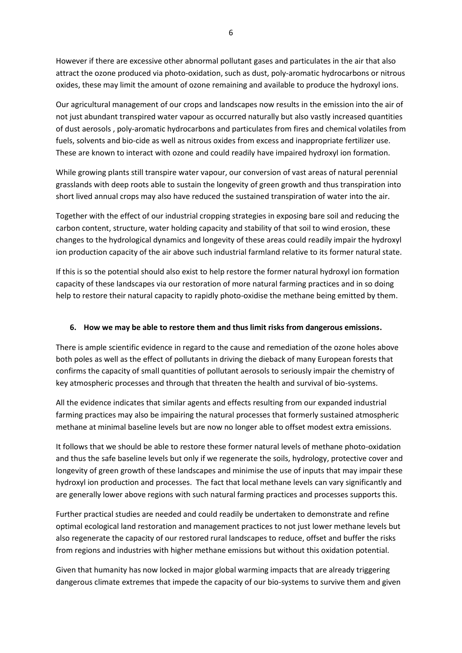However if there are excessive other abnormal pollutant gases and particulates in the air that also attract the ozone produced via photo-oxidation, such as dust, poly-aromatic hydrocarbons or nitrous oxides, these may limit the amount of ozone remaining and available to produce the hydroxyl ions.

Our agricultural management of our crops and landscapes now results in the emission into the air of not just abundant transpired water vapour as occurred naturally but also vastly increased quantities of dust aerosols , poly-aromatic hydrocarbons and particulates from fires and chemical volatiles from fuels, solvents and bio-cide as well as nitrous oxides from excess and inappropriate fertilizer use. These are known to interact with ozone and could readily have impaired hydroxyl ion formation.

While growing plants still transpire water vapour, our conversion of vast areas of natural perennial grasslands with deep roots able to sustain the longevity of green growth and thus transpiration into short lived annual crops may also have reduced the sustained transpiration of water into the air.

Together with the effect of our industrial cropping strategies in exposing bare soil and reducing the carbon content, structure, water holding capacity and stability of that soil to wind erosion, these changes to the hydrological dynamics and longevity of these areas could readily impair the hydroxyl ion production capacity of the air above such industrial farmland relative to its former natural state.

If this is so the potential should also exist to help restore the former natural hydroxyl ion formation capacity of these landscapes via our restoration of more natural farming practices and in so doing help to restore their natural capacity to rapidly photo-oxidise the methane being emitted by them.

### **6. How we may be able to restore them and thus limit risks from dangerous emissions.**

There is ample scientific evidence in regard to the cause and remediation of the ozone holes above both poles as well as the effect of pollutants in driving the dieback of many European forests that confirms the capacity of small quantities of pollutant aerosols to seriously impair the chemistry of key atmospheric processes and through that threaten the health and survival of bio-systems.

All the evidence indicates that similar agents and effects resulting from our expanded industrial farming practices may also be impairing the natural processes that formerly sustained atmospheric methane at minimal baseline levels but are now no longer able to offset modest extra emissions.

It follows that we should be able to restore these former natural levels of methane photo-oxidation and thus the safe baseline levels but only if we regenerate the soils, hydrology, protective cover and longevity of green growth of these landscapes and minimise the use of inputs that may impair these hydroxyl ion production and processes. The fact that local methane levels can vary significantly and are generally lower above regions with such natural farming practices and processes supports this.

Further practical studies are needed and could readily be undertaken to demonstrate and refine optimal ecological land restoration and management practices to not just lower methane levels but also regenerate the capacity of our restored rural landscapes to reduce, offset and buffer the risks from regions and industries with higher methane emissions but without this oxidation potential.

Given that humanity has now locked in major global warming impacts that are already triggering dangerous climate extremes that impede the capacity of our bio-systems to survive them and given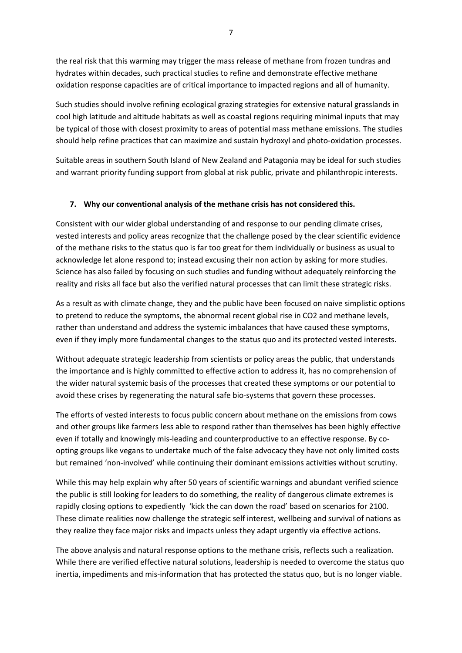the real risk that this warming may trigger the mass release of methane from frozen tundras and hydrates within decades, such practical studies to refine and demonstrate effective methane oxidation response capacities are of critical importance to impacted regions and all of humanity.

Such studies should involve refining ecological grazing strategies for extensive natural grasslands in cool high latitude and altitude habitats as well as coastal regions requiring minimal inputs that may be typical of those with closest proximity to areas of potential mass methane emissions. The studies should help refine practices that can maximize and sustain hydroxyl and photo-oxidation processes.

Suitable areas in southern South Island of New Zealand and Patagonia may be ideal for such studies and warrant priority funding support from global at risk public, private and philanthropic interests.

# **7. Why our conventional analysis of the methane crisis has not considered this.**

Consistent with our wider global understanding of and response to our pending climate crises, vested interests and policy areas recognize that the challenge posed by the clear scientific evidence of the methane risks to the status quo is far too great for them individually or business as usual to acknowledge let alone respond to; instead excusing their non action by asking for more studies. Science has also failed by focusing on such studies and funding without adequately reinforcing the reality and risks all face but also the verified natural processes that can limit these strategic risks.

As a result as with climate change, they and the public have been focused on naive simplistic options to pretend to reduce the symptoms, the abnormal recent global rise in CO2 and methane levels, rather than understand and address the systemic imbalances that have caused these symptoms, even if they imply more fundamental changes to the status quo and its protected vested interests.

Without adequate strategic leadership from scientists or policy areas the public, that understands the importance and is highly committed to effective action to address it, has no comprehension of the wider natural systemic basis of the processes that created these symptoms or our potential to avoid these crises by regenerating the natural safe bio-systems that govern these processes.

The efforts of vested interests to focus public concern about methane on the emissions from cows and other groups like farmers less able to respond rather than themselves has been highly effective even if totally and knowingly mis-leading and counterproductive to an effective response. By coopting groups like vegans to undertake much of the false advocacy they have not only limited costs but remained 'non-involved' while continuing their dominant emissions activities without scrutiny.

While this may help explain why after 50 years of scientific warnings and abundant verified science the public is still looking for leaders to do something, the reality of dangerous climate extremes is rapidly closing options to expediently 'kick the can down the road' based on scenarios for 2100. These climate realities now challenge the strategic self interest, wellbeing and survival of nations as they realize they face major risks and impacts unless they adapt urgently via effective actions.

The above analysis and natural response options to the methane crisis, reflects such a realization. While there are verified effective natural solutions, leadership is needed to overcome the status quo inertia, impediments and mis-information that has protected the status quo, but is no longer viable.